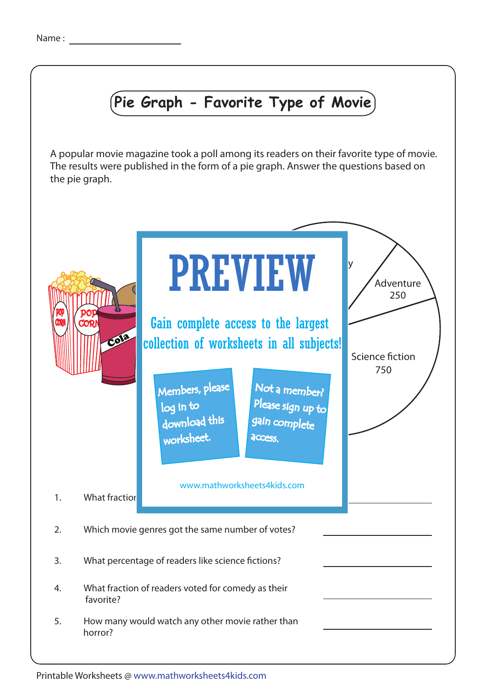